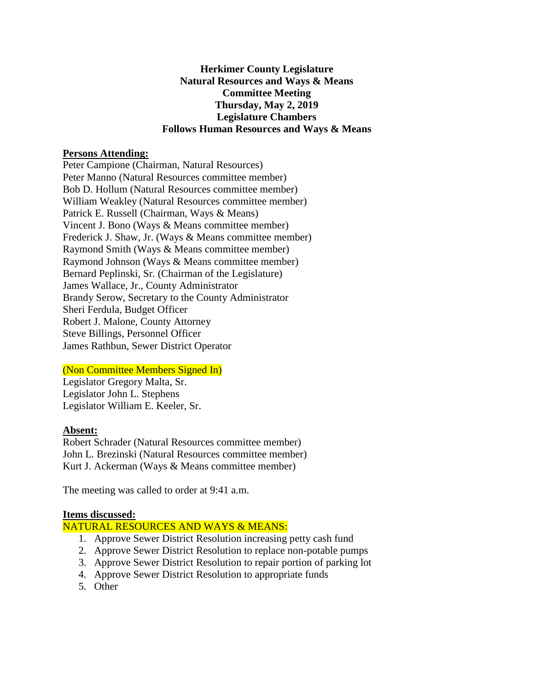## **Herkimer County Legislature Natural Resources and Ways & Means Committee Meeting Thursday, May 2, 2019 Legislature Chambers Follows Human Resources and Ways & Means**

#### **Persons Attending:**

Peter Campione (Chairman, Natural Resources) Peter Manno (Natural Resources committee member) Bob D. Hollum (Natural Resources committee member) William Weakley (Natural Resources committee member) Patrick E. Russell (Chairman, Ways & Means) Vincent J. Bono (Ways & Means committee member) Frederick J. Shaw, Jr. (Ways & Means committee member) Raymond Smith (Ways & Means committee member) Raymond Johnson (Ways & Means committee member) Bernard Peplinski, Sr. (Chairman of the Legislature) James Wallace, Jr., County Administrator Brandy Serow, Secretary to the County Administrator Sheri Ferdula, Budget Officer Robert J. Malone, County Attorney Steve Billings, Personnel Officer James Rathbun, Sewer District Operator

# (Non Committee Members Signed In)

Legislator Gregory Malta, Sr. Legislator John L. Stephens Legislator William E. Keeler, Sr.

# **Absent:**

Robert Schrader (Natural Resources committee member) John L. Brezinski (Natural Resources committee member) Kurt J. Ackerman (Ways & Means committee member)

The meeting was called to order at 9:41 a.m.

#### **Items discussed:**

# NATURAL RESOURCES AND WAYS & MEANS:

- 1. Approve Sewer District Resolution increasing petty cash fund
- 2. Approve Sewer District Resolution to replace non-potable pumps
- 3. Approve Sewer District Resolution to repair portion of parking lot
- 4. Approve Sewer District Resolution to appropriate funds
- 5. Other